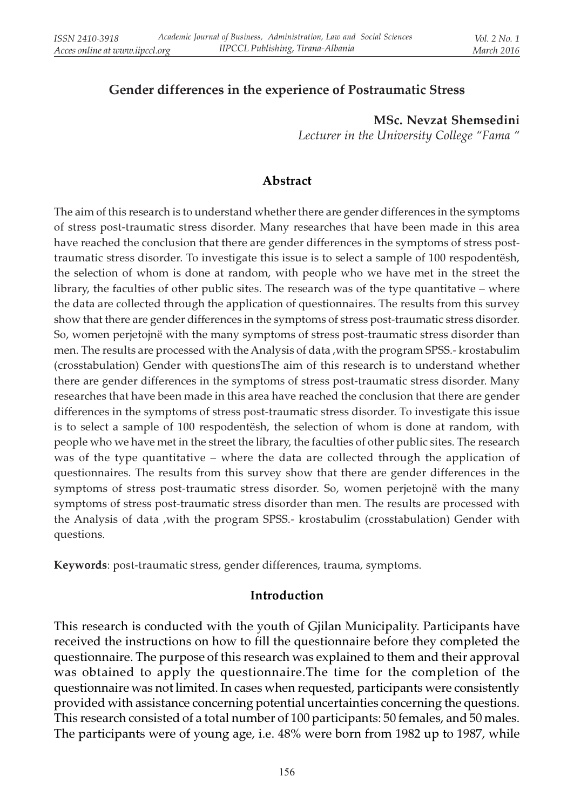# Gender differences in the experience of Postraumatic Stress

MSc. Nevzat Shemsedini Lecturer in the University College "Fama "

#### Abstract

The aim of this research is to understand whether there are gender differences in the symptoms of stress post-traumatic stress disorder. Many researches that have been made in this area have reached the conclusion that there are gender differences in the symptoms of stress posttraumatic stress disorder. To investigate this issue is to select a sample of 100 respodentësh, the selection of whom is done at random, with people who we have met in the street the library, the faculties of other public sites. The research was of the type quantitative – where the data are collected through the application of questionnaires. The results from this survey show that there are gender differences in the symptoms of stress post-traumatic stress disorder. So, women perjetojnë with the many symptoms of stress post-traumatic stress disorder than men. The results are processed with the Analysis of data ,with the program SPSS.- krostabulim (crosstabulation) Gender with questionsThe aim of this research is to understand whether there are gender differences in the symptoms of stress post-traumatic stress disorder. Many researches that have been made in this area have reached the conclusion that there are gender differences in the symptoms of stress post-traumatic stress disorder. To investigate this issue is to select a sample of 100 respodentësh, the selection of whom is done at random, with people who we have met in the street the library, the faculties of other public sites. The research was of the type quantitative – where the data are collected through the application of questionnaires. The results from this survey show that there are gender differences in the symptoms of stress post-traumatic stress disorder. So, women perjetojnë with the many symptoms of stress post-traumatic stress disorder than men. The results are processed with the Analysis of data ,with the program SPSS.- krostabulim (crosstabulation) Gender with questions.

Keywords: post-traumatic stress, gender differences, trauma, symptoms.

#### Introduction

This research is conducted with the youth of Gjilan Municipality. Participants have received the instructions on how to fill the questionnaire before they completed the questionnaire. The purpose of this research was explained to them and their approval was obtained to apply the questionnaire.The time for the completion of the questionnaire was not limited. In cases when requested, participants were consistently provided with assistance concerning potential uncertainties concerning the questions. This research consisted of a total number of 100 participants: 50 females, and 50 males. The participants were of young age, i.e. 48% were born from 1982 up to 1987, while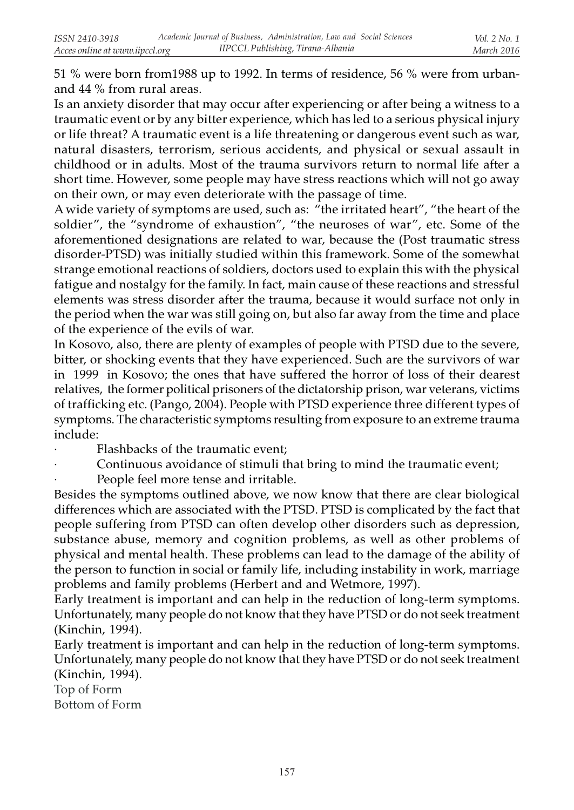51 % were born from1988 up to 1992. In terms of residence, 56 % were from urbanand 44 % from rural areas.

Is an anxiety disorder that may occur after experiencing or after being a witness to a traumatic event or by any bitter experience, which has led to a serious physical injury or life threat? A traumatic event is a life threatening or dangerous event such as war, natural disasters, terrorism, serious accidents, and physical or sexual assault in childhood or in adults. Most of the trauma survivors return to normal life after a short time. However, some people may have stress reactions which will not go away on their own, or may even deteriorate with the passage of time.

A wide variety of symptoms are used, such as: "the irritated heart", "the heart of the soldier", the "syndrome of exhaustion", "the neuroses of war", etc. Some of the aforementioned designations are related to war, because the (Post traumatic stress disorder-PTSD) was initially studied within this framework. Some of the somewhat strange emotional reactions of soldiers, doctors used to explain this with the physical fatigue and nostalgy for the family. In fact, main cause of these reactions and stressful elements was stress disorder after the trauma, because it would surface not only in the period when the war was still going on, but also far away from the time and place of the experience of the evils of war.

In Kosovo, also, there are plenty of examples of people with PTSD due to the severe, bitter, or shocking events that they have experienced. Such are the survivors of war in 1999 in Kosovo; the ones that have suffered the horror of loss of their dearest relatives, the former political prisoners of the dictatorship prison, war veterans, victims of trafficking etc. (Pango, 2004). People with PTSD experience three different types of symptoms. The characteristic symptoms resulting from exposure to an extreme trauma include:

- Flashbacks of the traumatic event;
- Continuous avoidance of stimuli that bring to mind the traumatic event;

People feel more tense and irritable.

Besides the symptoms outlined above, we now know that there are clear biological differences which are associated with the PTSD. PTSD is complicated by the fact that people suffering from PTSD can often develop other disorders such as depression, substance abuse, memory and cognition problems, as well as other problems of physical and mental health. These problems can lead to the damage of the ability of the person to function in social or family life, including instability in work, marriage problems and family problems (Herbert and and Wetmore, 1997).

Early treatment is important and can help in the reduction of long-term symptoms. Unfortunately, many people do not know that they have PTSD or do not seek treatment (Kinchin, 1994).

Early treatment is important and can help in the reduction of long-term symptoms. Unfortunately, many people do not know that they have PTSD or do not seek treatment (Kinchin, 1994).

Top of Form Bottom of Form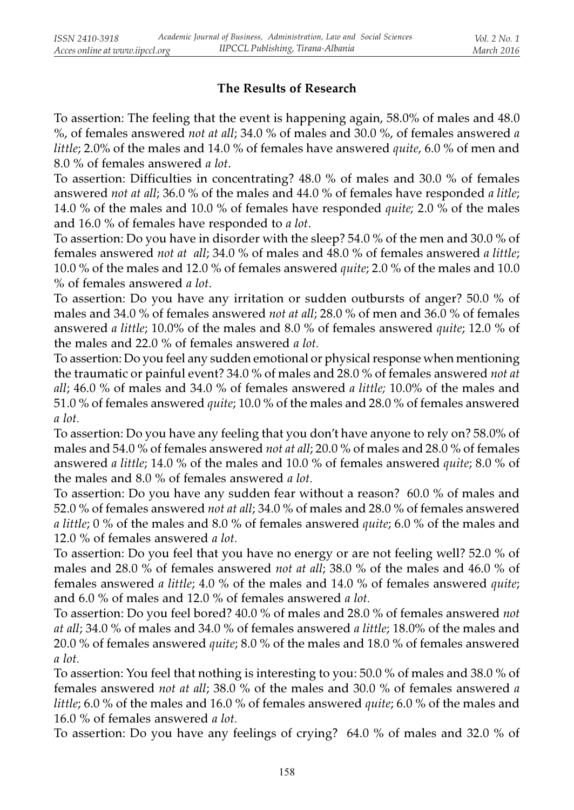# The Results of Research

To assertion: The feeling that the event is happening again, 58.0% of males and 48.0 %, of females answered *not at all*; 34.0 % of males and 30.0 %, of females answered *a* little; 2.0% of the males and 14.0 % of females have answered quite, 6.0 % of men and 8.0 % of females answered a lot.

To assertion: Difficulties in concentrating? 48.0 % of males and 30.0 % of females answered not at all; 36.0 % of the males and 44.0 % of females have responded a litle; 14.0 % of the males and 10.0 % of females have responded quite; 2.0 % of the males and 16.0 % of females have responded to a lot.

To assertion: Do you have in disorder with the sleep? 54.0 % of the men and 30.0 % of females answered not at all; 34.0 % of males and 48.0 % of females answered a little; 10.0 % of the males and 12.0 % of females answered quite; 2.0 % of the males and 10.0 % of females answered a lot.

To assertion: Do you have any irritation or sudden outbursts of anger? 50.0 % of males and 34.0 % of females answered not at all; 28.0 % of men and 36.0 % of females answered a little; 10.0% of the males and 8.0 % of females answered quite; 12.0 % of the males and 22.0 % of females answered a lot.

To assertion: Do you feel any sudden emotional or physical response when mentioning the traumatic or painful event? 34.0 % of males and 28.0 % of females answered not at all; 46.0 % of males and 34.0 % of females answered a little; 10.0% of the males and 51.0 % of females answered quite; 10.0 % of the males and 28.0 % of females answered a lot.

To assertion: Do you have any feeling that you don't have anyone to rely on? 58.0% of males and 54.0 % of females answered not at all; 20.0 % of males and 28.0 % of females answered a little; 14.0 % of the males and 10.0 % of females answered quite; 8.0 % of the males and 8.0 % of females answered a lot.

To assertion: Do you have any sudden fear without a reason? 60.0 % of males and 52.0 % of females answered not at all; 34.0 % of males and 28.0 % of females answered *a little;* 0 % of the males and 8.0 % of females answered *quite;* 6.0 % of the males and 12.0 % of females answered a lot.

To assertion: Do you feel that you have no energy or are not feeling well? 52.0 % of males and 28.0 % of females answered not at all; 38.0 % of the males and 46.0 % of females answered a little; 4.0 % of the males and 14.0 % of females answered quite; and 6.0 % of males and 12.0 % of females answered a lot.

To assertion: Do you feel bored? 40.0 % of males and 28.0 % of females answered not at all; 34.0 % of males and 34.0 % of females answered a little; 18.0% of the males and 20.0 % of females answered quite; 8.0 % of the males and 18.0 % of females answered a lot.

To assertion: You feel that nothing is interesting to you: 50.0 % of males and 38.0 % of females answered not at all; 38.0 % of the males and 30.0 % of females answered a little; 6.0 % of the males and 16.0 % of females answered *quite*; 6.0 % of the males and 16.0 % of females answered a lot.

To assertion: Do you have any feelings of crying? 64.0 % of males and 32.0 % of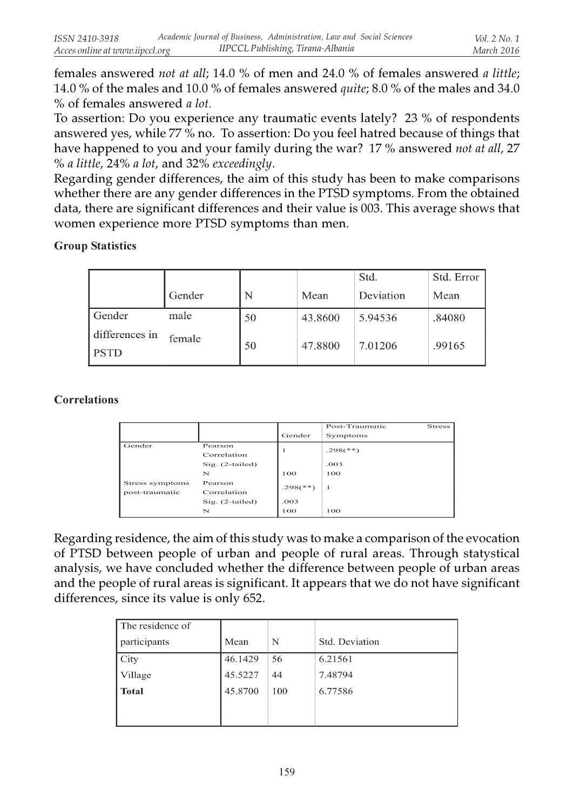females answered not at all; 14.0 % of men and 24.0 % of females answered a little; 14.0 % of the males and 10.0 % of females answered quite; 8.0 % of the males and 34.0 % of females answered a lot.

To assertion: Do you experience any traumatic events lately? 23 % of respondents answered yes, while 77 % no. To assertion: Do you feel hatred because of things that have happened to you and your family during the war? 17 % answered not at all, 27 % a little, 24% a lot, and 32% exceedingly.

Regarding gender differences, the aim of this study has been to make comparisons whether there are any gender differences in the PTSD symptoms. From the obtained data, there are significant differences and their value is 003. This average shows that women experience more PTSD symptoms than men.

Group Statistics

|                               |        |    |         | Std.      | Std. Error |
|-------------------------------|--------|----|---------|-----------|------------|
|                               | Gender | N  | Mean    | Deviation | Mean       |
| Gender                        | male   | 50 | 43.8600 | 5.94536   | .84080     |
| differences in<br><b>PSTD</b> | female | 50 | 47.8800 | 7.01206   | .99165     |

### Correlations

|                 |                   |                | Post-Traumatic           | Stress |
|-----------------|-------------------|----------------|--------------------------|--------|
|                 |                   | Gender         | Symptoms                 |        |
| Gender          | Pearson           |                | $.298$ <sup>(**)</sup> ) |        |
|                 | Correlation       |                |                          |        |
|                 | $Sig. (2-tailed)$ |                | .003                     |        |
|                 | N                 | 100            | 100                      |        |
| Stress symptoms | Pearson           | $.298(^{***})$ |                          |        |
| post-traumatic  | Correlation       |                | 1                        |        |
|                 | $Sig. (2-tailed)$ | .003           |                          |        |
|                 | N                 | 100            | 100                      |        |

Regarding residence, the aim of this study was to make a comparison of the evocation of PTSD between people of urban and people of rural areas. Through statystical analysis, we have concluded whether the difference between people of urban areas and the people of rural areas is significant. It appears that we do not have significant differences, since its value is only 652.

| The residence of |         |     |                |
|------------------|---------|-----|----------------|
| participants     | Mean    | N   | Std. Deviation |
| City             | 46.1429 | 56  | 6.21561        |
| Village          | 45.5227 | 44  | 7.48794        |
| <b>Total</b>     | 45.8700 | 100 | 6.77586        |
|                  |         |     |                |
|                  |         |     |                |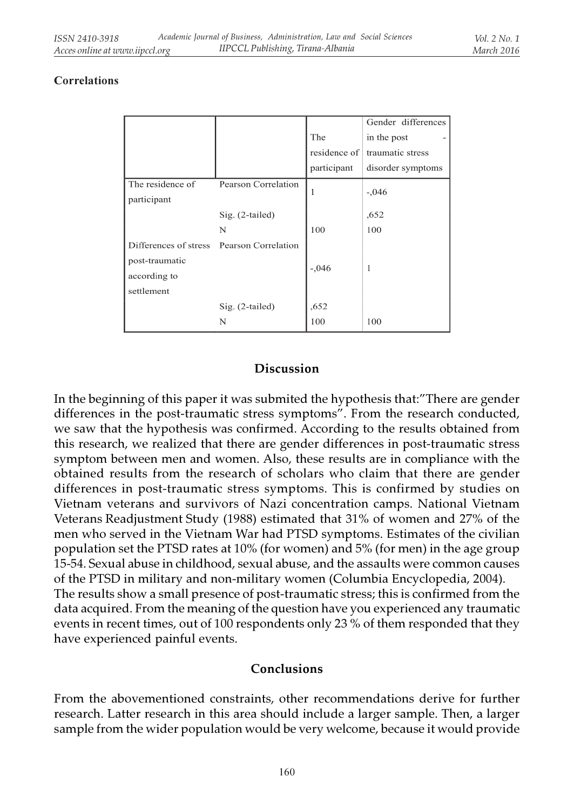#### Correlations

|                                           |                     |              | Gender differences |  |
|-------------------------------------------|---------------------|--------------|--------------------|--|
|                                           |                     | The          | in the post        |  |
|                                           |                     | residence of | traumatic stress   |  |
|                                           |                     | participant  | disorder symptoms  |  |
| The residence of                          | Pearson Correlation |              |                    |  |
| participant                               |                     |              | $-.046$            |  |
|                                           | Sig. (2-tailed)     |              | ,652               |  |
|                                           | N                   | 100          | 100                |  |
| Differences of stress Pearson Correlation |                     |              |                    |  |
| post-traumatic                            |                     |              |                    |  |
| according to                              |                     | $-.046$      | 1                  |  |
| settlement                                |                     |              |                    |  |
|                                           | Sig. (2-tailed)     | ,652         |                    |  |
|                                           | N                   | 100          | 100                |  |

# Discussion

In the beginning of this paper it was submited the hypothesis that:"There are gender differences in the post-traumatic stress symptoms". From the research conducted, we saw that the hypothesis was confirmed. According to the results obtained from this research, we realized that there are gender differences in post-traumatic stress symptom between men and women. Also, these results are in compliance with the obtained results from the research of scholars who claim that there are gender differences in post-traumatic stress symptoms. This is confirmed by studies on Vietnam veterans and survivors of Nazi concentration camps. National Vietnam Veterans Readjustment Study (1988) estimated that 31% of women and 27% of the men who served in the Vietnam War had PTSD symptoms. Estimates of the civilian population set the PTSD rates at 10% (for women) and 5% (for men) in the age group 15-54. Sexual abuse in childhood, sexual abuse, and the assaults were common causes of the PTSD in military and non-military women (Columbia Encyclopedia, 2004). The results show a small presence of post-traumatic stress; this is confirmed from the data acquired. From the meaning of the question have you experienced any traumatic events in recent times, out of 100 respondents only 23 % of them responded that they have experienced painful events.

### Conclusions

From the abovementioned constraints, other recommendations derive for further research. Latter research in this area should include a larger sample. Then, a larger sample from the wider population would be very welcome, because it would provide